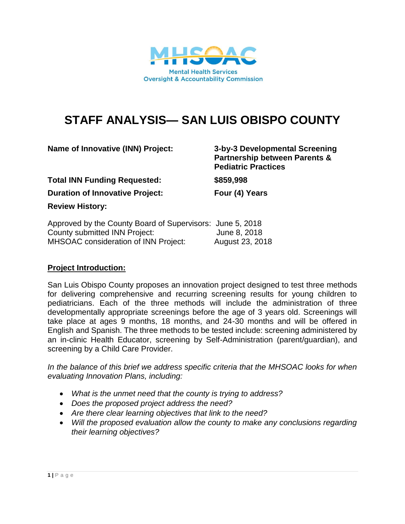

# **STAFF ANALYSIS— SAN LUIS OBISPO COUNTY**

| Name of Innovative (INN) Project:                         | 3-by-3 Developmental Screening<br><b>Partnership between Parents &amp;</b><br><b>Pediatric Practices</b><br>\$859,998 |  |
|-----------------------------------------------------------|-----------------------------------------------------------------------------------------------------------------------|--|
| <b>Total INN Funding Requested:</b>                       |                                                                                                                       |  |
| <b>Duration of Innovative Project:</b>                    | Four (4) Years                                                                                                        |  |
| <b>Review History:</b>                                    |                                                                                                                       |  |
| Approved by the County Board of Supervisors: June 5, 2018 |                                                                                                                       |  |
| County submitted INN Project:                             | June 8, 2018                                                                                                          |  |

MHSOAC consideration of INN Project: August 23, 2018

# **Project Introduction:**

San Luis Obispo County proposes an innovation project designed to test three methods for delivering comprehensive and recurring screening results for young children to pediatricians. Each of the three methods will include the administration of three developmentally appropriate screenings before the age of 3 years old. Screenings will take place at ages 9 months, 18 months, and 24-30 months and will be offered in English and Spanish. The three methods to be tested include: screening administered by an in-clinic Health Educator, screening by Self-Administration (parent/guardian), and screening by a Child Care Provider.

*In the balance of this brief we address specific criteria that the MHSOAC looks for when evaluating Innovation Plans, including:* 

- *What is the unmet need that the county is trying to address?*
- *Does the proposed project address the need?*
- *Are there clear learning objectives that link to the need?*
- *Will the proposed evaluation allow the county to make any conclusions regarding their learning objectives?*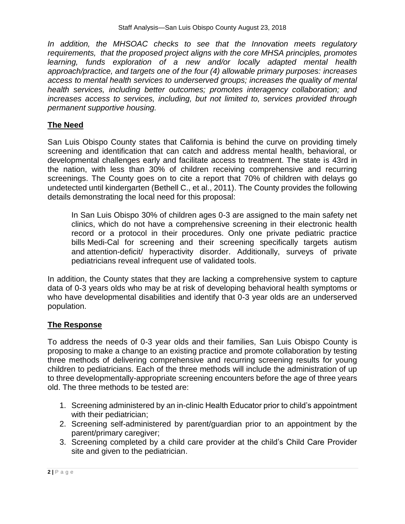In addition, the MHSOAC checks to see that the Innovation meets regulatory *requirements, that the proposed project aligns with the core MHSA principles, promotes learning, funds exploration of a new and/or locally adapted mental health approach/practice, and targets one of the four (4) allowable primary purposes: increases access to mental health services to underserved groups; increases the quality of mental health services, including better outcomes; promotes interagency collaboration; and increases access to services, including, but not limited to, services provided through permanent supportive housing.*

# **The Need**

San Luis Obispo County states that California is behind the curve on providing timely screening and identification that can catch and address mental health, behavioral, or developmental challenges early and facilitate access to treatment. The state is 43rd in the nation, with less than 30% of children receiving comprehensive and recurring screenings. The County goes on to cite a report that 70% of children with delays go undetected until kindergarten (Bethell C., et al., 2011). The County provides the following details demonstrating the local need for this proposal:

In San Luis Obispo 30% of children ages 0-3 are assigned to the main safety net clinics, which do not have a comprehensive screening in their electronic health record or a protocol in their procedures. Only one private pediatric practice bills Medi-Cal for screening and their screening specifically targets autism and attention-deficit/ hyperactivity disorder. Additionally, surveys of private pediatricians reveal infrequent use of validated tools.

In addition, the County states that they are lacking a comprehensive system to capture data of 0-3 years olds who may be at risk of developing behavioral health symptoms or who have developmental disabilities and identify that 0-3 year olds are an underserved population.

# **The Response**

To address the needs of 0-3 year olds and their families, San Luis Obispo County is proposing to make a change to an existing practice and promote collaboration by testing three methods of delivering comprehensive and recurring screening results for young children to pediatricians. Each of the three methods will include the administration of up to three developmentally-appropriate screening encounters before the age of three years old. The three methods to be tested are:

- 1. Screening administered by an in-clinic Health Educator prior to child's appointment with their pediatrician;
- 2. Screening self-administered by parent/guardian prior to an appointment by the parent/primary caregiver;
- 3. Screening completed by a child care provider at the child's Child Care Provider site and given to the pediatrician.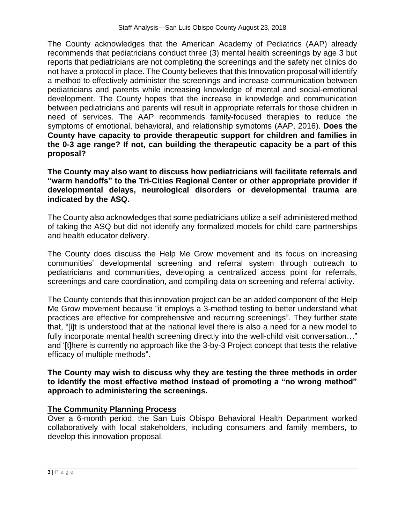The County acknowledges that the American Academy of Pediatrics (AAP) already recommends that pediatricians conduct three (3) mental health screenings by age 3 but reports that pediatricians are not completing the screenings and the safety net clinics do not have a protocol in place. The County believes that this Innovation proposal will identify a method to effectively administer the screenings and increase communication between pediatricians and parents while increasing knowledge of mental and social-emotional development. The County hopes that the increase in knowledge and communication between pediatricians and parents will result in appropriate referrals for those children in need of services. The AAP recommends family-focused therapies to reduce the symptoms of emotional, behavioral, and relationship symptoms (AAP, 2016). **Does the County have capacity to provide therapeutic support for children and families in the 0-3 age range? If not, can building the therapeutic capacity be a part of this proposal?** 

**The County may also want to discuss how pediatricians will facilitate referrals and "warm handoffs" to the Tri-Cities Regional Center or other appropriate provider if developmental delays, neurological disorders or developmental trauma are indicated by the ASQ.** 

The County also acknowledges that some pediatricians utilize a self-administered method of taking the ASQ but did not identify any formalized models for child care partnerships and health educator delivery.

The County does discuss the Help Me Grow movement and its focus on increasing communities' developmental screening and referral system through outreach to pediatricians and communities, developing a centralized access point for referrals, screenings and care coordination, and compiling data on screening and referral activity.

The County contends that this innovation project can be an added component of the Help Me Grow movement because "it employs a 3-method testing to better understand what practices are effective for comprehensive and recurring screenings". They further state that, "[i]t is understood that at the national level there is also a need for a new model to fully incorporate mental health screening directly into the well-child visit conversation…" and '[t]here is currently no approach like the 3-by-3 Project concept that tests the relative efficacy of multiple methods".

## **The County may wish to discuss why they are testing the three methods in order to identify the most effective method instead of promoting a "no wrong method" approach to administering the screenings.**

# **The Community Planning Process**

Over a 6-month period, the San Luis Obispo Behavioral Health Department worked collaboratively with local stakeholders, including consumers and family members, to develop this innovation proposal.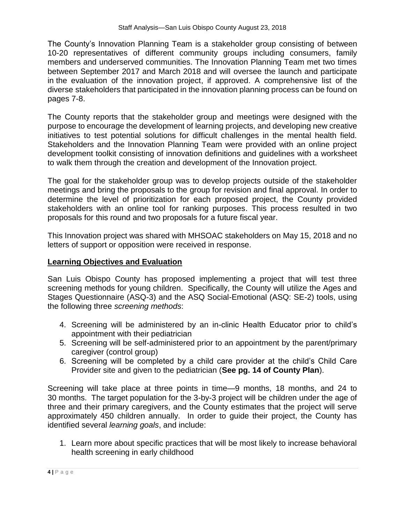The County's Innovation Planning Team is a stakeholder group consisting of between 10-20 representatives of different community groups including consumers, family members and underserved communities. The Innovation Planning Team met two times between September 2017 and March 2018 and will oversee the launch and participate in the evaluation of the innovation project, if approved. A comprehensive list of the diverse stakeholders that participated in the innovation planning process can be found on pages 7-8.

The County reports that the stakeholder group and meetings were designed with the purpose to encourage the development of learning projects, and developing new creative initiatives to test potential solutions for difficult challenges in the mental health field. Stakeholders and the Innovation Planning Team were provided with an online project development toolkit consisting of innovation definitions and guidelines with a worksheet to walk them through the creation and development of the Innovation project.

The goal for the stakeholder group was to develop projects outside of the stakeholder meetings and bring the proposals to the group for revision and final approval. In order to determine the level of prioritization for each proposed project, the County provided stakeholders with an online tool for ranking purposes. This process resulted in two proposals for this round and two proposals for a future fiscal year.

This Innovation project was shared with MHSOAC stakeholders on May 15, 2018 and no letters of support or opposition were received in response.

# **Learning Objectives and Evaluation**

San Luis Obispo County has proposed implementing a project that will test three screening methods for young children. Specifically, the County will utilize the Ages and Stages Questionnaire (ASQ-3) and the ASQ Social-Emotional (ASQ: SE-2) tools, using the following three *screening methods*:

- 4. Screening will be administered by an in-clinic Health Educator prior to child's appointment with their pediatrician
- 5. Screening will be self-administered prior to an appointment by the parent/primary caregiver (control group)
- 6. Screening will be completed by a child care provider at the child's Child Care Provider site and given to the pediatrician (**See pg. 14 of County Plan**).

Screening will take place at three points in time—9 months, 18 months, and 24 to 30 months. The target population for the 3-by-3 project will be children under the age of three and their primary caregivers, and the County estimates that the project will serve approximately 450 children annually. In order to guide their project, the County has identified several *learning goals*, and include:

1. Learn more about specific practices that will be most likely to increase behavioral health screening in early childhood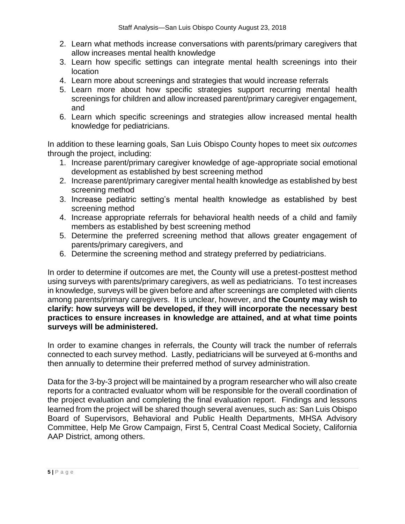- 2. Learn what methods increase conversations with parents/primary caregivers that allow increases mental health knowledge
- 3. Learn how specific settings can integrate mental health screenings into their location
- 4. Learn more about screenings and strategies that would increase referrals
- 5. Learn more about how specific strategies support recurring mental health screenings for children and allow increased parent/primary caregiver engagement, and
- 6. Learn which specific screenings and strategies allow increased mental health knowledge for pediatricians.

In addition to these learning goals, San Luis Obispo County hopes to meet six *outcomes* through the project, including:

- 1. Increase parent/primary caregiver knowledge of age-appropriate social emotional development as established by best screening method
- 2. Increase parent/primary caregiver mental health knowledge as established by best screening method
- 3. Increase pediatric setting's mental health knowledge as established by best screening method
- 4. Increase appropriate referrals for behavioral health needs of a child and family members as established by best screening method
- 5. Determine the preferred screening method that allows greater engagement of parents/primary caregivers, and
- 6. Determine the screening method and strategy preferred by pediatricians.

In order to determine if outcomes are met, the County will use a pretest-posttest method using surveys with parents/primary caregivers, as well as pediatricians. To test increases in knowledge, surveys will be given before and after screenings are completed with clients among parents/primary caregivers. It is unclear, however, and **the County may wish to clarify: how surveys will be developed, if they will incorporate the necessary best practices to ensure increases in knowledge are attained, and at what time points surveys will be administered.**

In order to examine changes in referrals, the County will track the number of referrals connected to each survey method.Lastly, pediatricians will be surveyed at 6-months and then annually to determine their preferred method of survey administration.

Data for the 3-by-3 project will be maintained by a program researcher who will also create reports for a contracted evaluator whom will be responsible for the overall coordination of the project evaluation and completing the final evaluation report. Findings and lessons learned from the project will be shared though several avenues, such as: San Luis Obispo Board of Supervisors, Behavioral and Public Health Departments, MHSA Advisory Committee, Help Me Grow Campaign, First 5, Central Coast Medical Society, California AAP District, among others.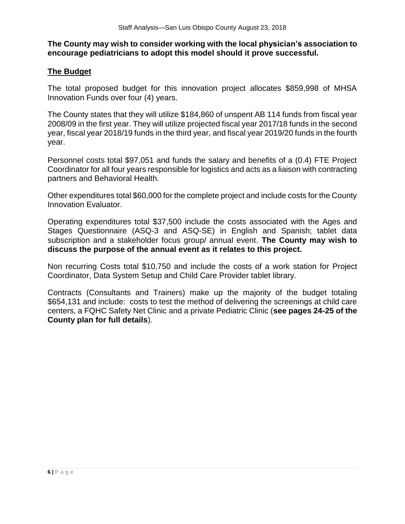### **The County may wish to consider working with the local physician's association to encourage pediatricians to adopt this model should it prove successful.**

### **The Budget**

The total proposed budget for this innovation project allocates \$859,998 of MHSA Innovation Funds over four (4) years.

The County states that they will utilize \$184,860 of unspent AB 114 funds from fiscal year 2008/09 in the first year. They will utilize projected fiscal year 2017/18 funds in the second year, fiscal year 2018/19 funds in the third year, and fiscal year 2019/20 funds in the fourth year.

Personnel costs total \$97,051 and funds the salary and benefits of a (0.4) FTE Project Coordinator for all four years responsible for logistics and acts as a liaison with contracting partners and Behavioral Health.

Other expenditures total \$60,000 for the complete project and include costs for the County Innovation Evaluator.

Operating expenditures total \$37,500 include the costs associated with the Ages and Stages Questionnaire (ASQ-3 and ASQ-SE) in English and Spanish; tablet data subscription and a stakeholder focus group/ annual event. **The County may wish to discuss the purpose of the annual event as it relates to this project.**

Non recurring Costs total \$10,750 and include the costs of a work station for Project Coordinator, Data System Setup and Child Care Provider tablet library.

Contracts (Consultants and Trainers) make up the majority of the budget totaling \$654,131 and include: costs to test the method of delivering the screenings at child care centers, a FQHC Safety Net Clinic and a private Pediatric Clinic (**see pages 24-25 of the County plan for full details**).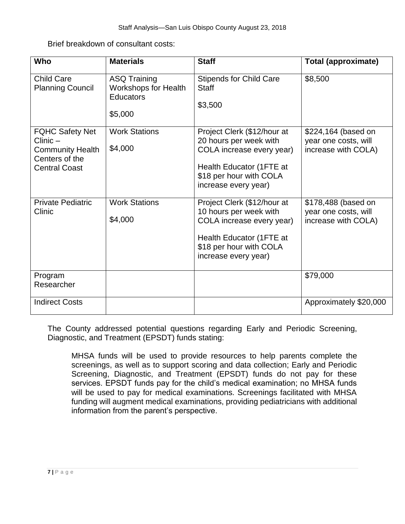Brief breakdown of consultant costs:

| Who                                                                                                       | <b>Materials</b>                                                                  | <b>Staff</b>                                                                                                                                                      | <b>Total (approximate)</b>                                         |
|-----------------------------------------------------------------------------------------------------------|-----------------------------------------------------------------------------------|-------------------------------------------------------------------------------------------------------------------------------------------------------------------|--------------------------------------------------------------------|
| <b>Child Care</b><br><b>Planning Council</b>                                                              | <b>ASQ Training</b><br><b>Workshops for Health</b><br><b>Educators</b><br>\$5,000 | <b>Stipends for Child Care</b><br><b>Staff</b><br>\$3,500                                                                                                         | \$8,500                                                            |
| <b>FQHC Safety Net</b><br>$Clinic -$<br><b>Community Health</b><br>Centers of the<br><b>Central Coast</b> | <b>Work Stations</b><br>\$4,000                                                   | Project Clerk (\$12/hour at<br>20 hours per week with<br>COLA increase every year)<br>Health Educator (1FTE at<br>\$18 per hour with COLA<br>increase every year) | \$224,164 (based on<br>year one costs, will<br>increase with COLA) |
| <b>Private Pediatric</b><br>Clinic                                                                        | <b>Work Stations</b><br>\$4,000                                                   | Project Clerk (\$12/hour at<br>10 hours per week with<br>COLA increase every year)<br>Health Educator (1FTE at<br>\$18 per hour with COLA<br>increase every year) | \$178,488 (based on<br>year one costs, will<br>increase with COLA) |
| Program<br>Researcher                                                                                     |                                                                                   |                                                                                                                                                                   | \$79,000                                                           |
| <b>Indirect Costs</b>                                                                                     |                                                                                   |                                                                                                                                                                   | Approximately \$20,000                                             |

The County addressed potential questions regarding Early and Periodic Screening, Diagnostic, and Treatment (EPSDT) funds stating:

MHSA funds will be used to provide resources to help parents complete the screenings, as well as to support scoring and data collection; Early and Periodic Screening, Diagnostic, and Treatment (EPSDT) funds do not pay for these services. EPSDT funds pay for the child's medical examination; no MHSA funds will be used to pay for medical examinations. Screenings facilitated with MHSA funding will augment medical examinations, providing pediatricians with additional information from the parent's perspective.